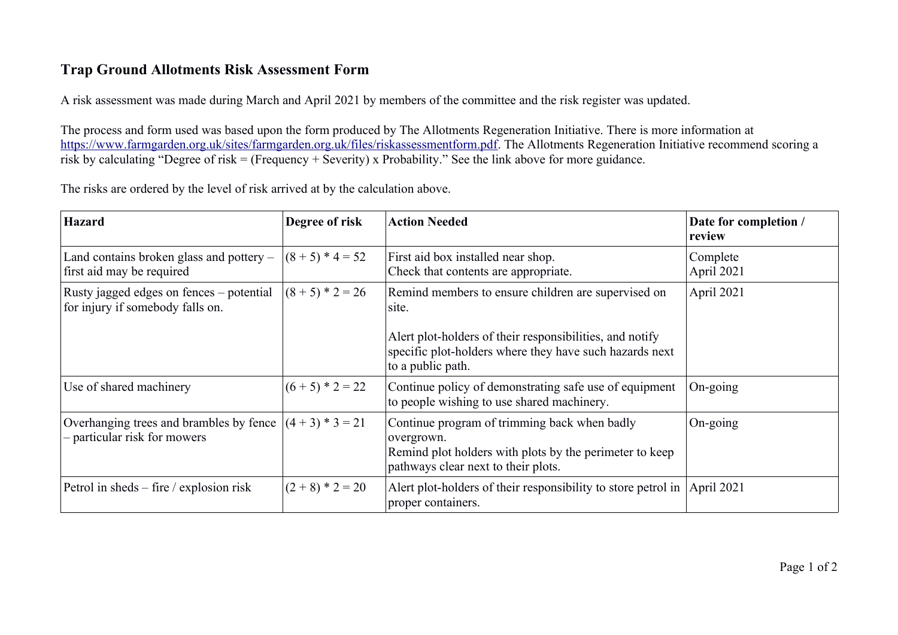## **Trap Ground Allotments Risk Assessment Form**

A risk assessment was made during March and April 2021 by members of the committee and the risk register was updated.

The process and form used was based upon the form produced by The Allotments Regeneration Initiative. There is more information at [https://www.farmgarden.org.uk/sites/farmgarden.org.uk/files/riskassessmentform.pdf.](https://www.farmgarden.org.uk/sites/farmgarden.org.uk/files/riskassessmentform.pdf) The Allotments Regeneration Initiative recommend scoring a risk by calculating "Degree of risk = (Frequency + Severity) x Probability." See the link above for more guidance.

The risks are ordered by the level of risk arrived at by the calculation above.

| <b>Hazard</b>                                                                | Degree of risk     | <b>Action Needed</b>                                                                                                                                         | Date for completion /<br>review |
|------------------------------------------------------------------------------|--------------------|--------------------------------------------------------------------------------------------------------------------------------------------------------------|---------------------------------|
| Land contains broken glass and pottery –<br>first aid may be required        | $(8 + 5) * 4 = 52$ | First aid box installed near shop.<br>Check that contents are appropriate.                                                                                   | Complete<br>April 2021          |
| Rusty jagged edges on fences - potential<br>for injury if somebody falls on. | $(8 + 5) * 2 = 26$ | Remind members to ensure children are supervised on<br>site.<br>A lert plot-holders of their responsibilities, and notify                                    | April 2021                      |
|                                                                              |                    | specific plot-holders where they have such hazards next<br>to a public path.                                                                                 |                                 |
| Use of shared machinery                                                      | $(6 + 5) * 2 = 22$ | Continue policy of demonstrating safe use of equipment<br>to people wishing to use shared machinery.                                                         | $On-going$                      |
| Overhanging trees and brambles by fence<br>- particular risk for mowers      | $(4+3)*3=21$       | Continue program of trimming back when badly<br>overgrown.<br>Remind plot holders with plots by the perimeter to keep<br>pathways clear next to their plots. | On-going                        |
| Petrol in sheds $-$ fire / explosion risk                                    | $(2 + 8) * 2 = 20$ | A lert plot-holders of their responsibility to store petrol in<br>proper containers.                                                                         | April 2021                      |